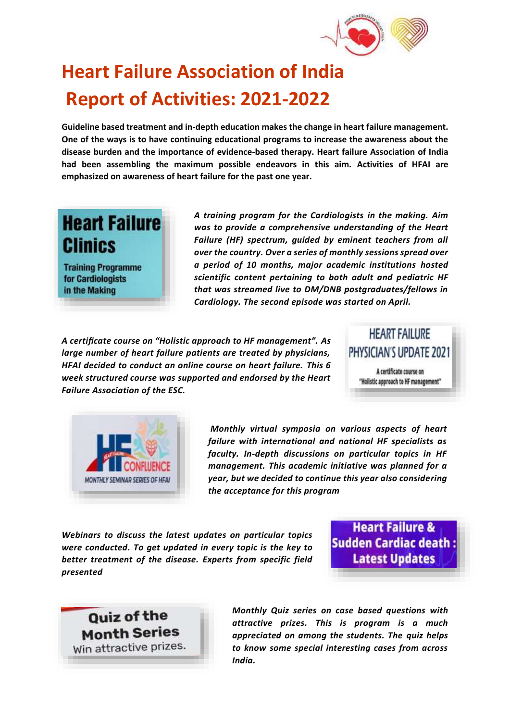

## **Heart Failure Association of India Report of Activities: 2021-2022**

**Guideline based treatment and in-depth education makes the change in heart failure management. One of the ways is to have continuing educational programs to increase the awareness about the disease burden and the importance of evidence-based therapy. Heart failure Association of India had been assembling the maximum possible endeavors in this aim. Activities of HFAI are emphasized on awareness of heart failure for the past one year.** 

## **Heart Failure Clinics**

**Training Programme** for Cardiologists in the Making

*A training program for the Cardiologists in the making. Aim was to provide a comprehensive understanding of the Heart Failure (HF) spectrum, guided by eminent teachers from all over the country. Over a series of monthly sessions spread over a period of 10 months, major academic institutions hosted scientific content pertaining to both adult and pediatric HF that was streamed live to DM/DNB postgraduates/fellows in Cardiology. The second episode was started on April.*

*A certificate course on "Holistic approach to HF management". As large number of heart failure patients are treated by physicians, HFAI decided to conduct an online course on heart failure. This 6 week structured course was supported and endorsed by the Heart Failure Association of the ESC.*





*Monthly virtual symposia on various aspects of heart failure with international and national HF specialists as faculty. In-depth discussions on particular topics in HF management. This academic initiative was planned for a year, but we decided to continue this year also considering the acceptance for this program* 

*Webinars to discuss the latest updates on particular topics were conducted. To get updated in every topic is the key to better treatment of the disease. Experts from specific field presented* 

**Heart Failure & Sudden Cardiac death Latest Updates** 

**Quiz of the Month Series** Win attractive prizes. *Monthly Quiz series on case based questions with attractive prizes. This is program is a much appreciated on among the students. The quiz helps to know some special interesting cases from across India.*